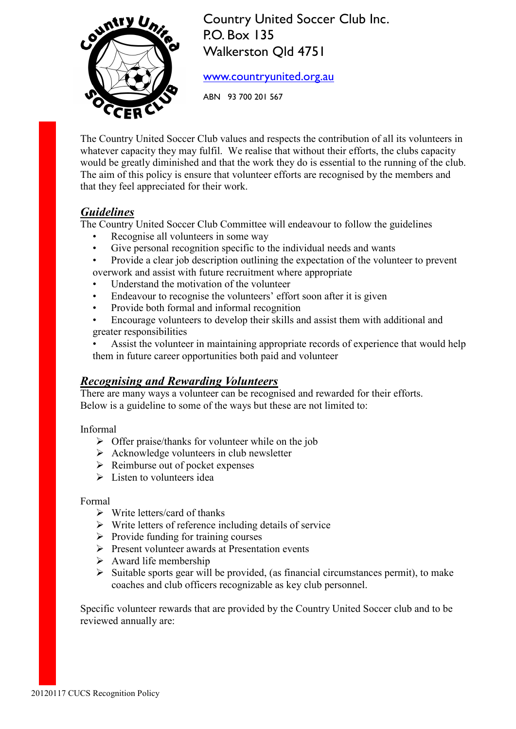

Country United Soccer Club Inc. P.O. Box 135 Walkerston Qld 4751

www.countryunited.org.au

ABN 93 700 201 567

The Country United Soccer Club values and respects the contribution of all its volunteers in whatever capacity they may fulfil. We realise that without their efforts, the clubs capacity would be greatly diminished and that the work they do is essential to the running of the club. The aim of this policy is ensure that volunteer efforts are recognised by the members and that they feel appreciated for their work.

## *Guidelines*

The Country United Soccer Club Committee will endeavour to follow the guidelines

- Recognise all volunteers in some way
- Give personal recognition specific to the individual needs and wants
- Provide a clear job description outlining the expectation of the volunteer to prevent overwork and assist with future recruitment where appropriate
- Understand the motivation of the volunteer
- Endeavour to recognise the volunteers' effort soon after it is given
- Provide both formal and informal recognition
- Encourage volunteers to develop their skills and assist them with additional and greater responsibilities
- Assist the volunteer in maintaining appropriate records of experience that would help them in future career opportunities both paid and volunteer

#### *Recognising and Rewarding Volunteers*

There are many ways a volunteer can be recognised and rewarded for their efforts. Below is a guideline to some of the ways but these are not limited to:

Informal

- $\triangleright$  Offer praise/thanks for volunteer while on the job
- $\triangleright$  Acknowledge volunteers in club newsletter
- $\triangleright$  Reimburse out of pocket expenses
- $\triangleright$  Listen to volunteers idea

Formal

- $\triangleright$  Write letters/card of thanks
- $\triangleright$  Write letters of reference including details of service
- $\triangleright$  Provide funding for training courses
- $\triangleright$  Present volunteer awards at Presentation events
- $\triangleright$  Award life membership
- $\triangleright$  Suitable sports gear will be provided, (as financial circumstances permit), to make coaches and club officers recognizable as key club personnel.

Specific volunteer rewards that are provided by the Country United Soccer club and to be reviewed annually are: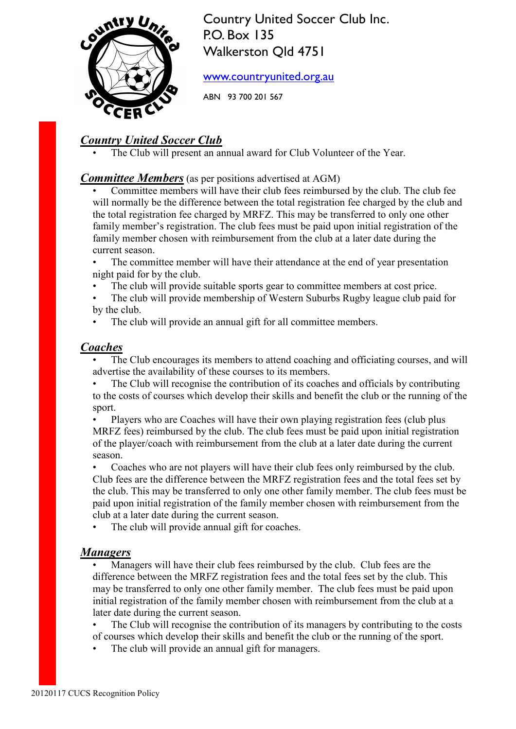

Country United Soccer Club Inc. P.O. Box 135 Walkerston Qld 4751

www.countryunited.org.au

ABN 93 700 201 567

# *Country United Soccer Club*

The Club will present an annual award for Club Volunteer of the Year.

#### *Committee Members* (as per positions advertised at AGM)

• Committee members will have their club fees reimbursed by the club. The club fee will normally be the difference between the total registration fee charged by the club and the total registration fee charged by MRFZ. This may be transferred to only one other family member's registration. The club fees must be paid upon initial registration of the family member chosen with reimbursement from the club at a later date during the current season.

The committee member will have their attendance at the end of year presentation night paid for by the club.

- The club will provide suitable sports gear to committee members at cost price.
- The club will provide membership of Western Suburbs Rugby league club paid for by the club.

The club will provide an annual gift for all committee members.

#### *Coaches*

The Club encourages its members to attend coaching and officiating courses, and will advertise the availability of these courses to its members.

The Club will recognise the contribution of its coaches and officials by contributing to the costs of courses which develop their skills and benefit the club or the running of the sport.

• Players who are Coaches will have their own playing registration fees (club plus MRFZ fees) reimbursed by the club. The club fees must be paid upon initial registration of the player/coach with reimbursement from the club at a later date during the current season.

• Coaches who are not players will have their club fees only reimbursed by the club. Club fees are the difference between the MRFZ registration fees and the total fees set by the club. This may be transferred to only one other family member. The club fees must be paid upon initial registration of the family member chosen with reimbursement from the club at a later date during the current season.

• The club will provide annual gift for coaches.

#### *Managers*

• Managers will have their club fees reimbursed by the club. Club fees are the difference between the MRFZ registration fees and the total fees set by the club. This may be transferred to only one other family member. The club fees must be paid upon initial registration of the family member chosen with reimbursement from the club at a later date during the current season.

The Club will recognise the contribution of its managers by contributing to the costs of courses which develop their skills and benefit the club or the running of the sport.

The club will provide an annual gift for managers.